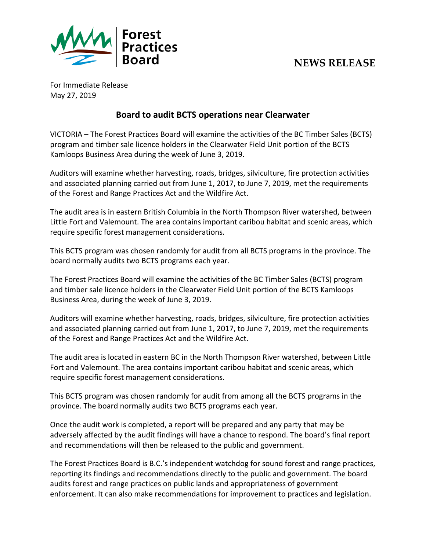

## **NEWS RELEASE**

For Immediate Release May 27, 2019

## **Board to audit BCTS operations near Clearwater**

VICTORIA – The Forest Practices Board will examine the activities of the BC Timber Sales (BCTS) program and timber sale licence holders in the Clearwater Field Unit portion of the BCTS Kamloops Business Area during the week of June 3, 2019.

Auditors will examine whether harvesting, roads, bridges, silviculture, fire protection activities and associated planning carried out from June 1, 2017, to June 7, 2019, met the requirements of the Forest and Range Practices Act and the Wildfire Act.

The audit area is in eastern British Columbia in the North Thompson River watershed, between Little Fort and Valemount. The area contains important caribou habitat and scenic areas, which require specific forest management considerations.

This BCTS program was chosen randomly for audit from all BCTS programs in the province. The board normally audits two BCTS programs each year.

The Forest Practices Board will examine the activities of the BC Timber Sales (BCTS) program and timber sale licence holders in the Clearwater Field Unit portion of the BCTS Kamloops Business Area, during the week of June 3, 2019.

Auditors will examine whether harvesting, roads, bridges, silviculture, fire protection activities and associated planning carried out from June 1, 2017, to June 7, 2019, met the requirements of the Forest and Range Practices Act and the Wildfire Act.

The audit area is located in eastern BC in the North Thompson River watershed, between Little Fort and Valemount. The area contains important caribou habitat and scenic areas, which require specific forest management considerations.

This BCTS program was chosen randomly for audit from among all the BCTS programs in the province. The board normally audits two BCTS programs each year.

Once the audit work is completed, a report will be prepared and any party that may be adversely affected by the audit findings will have a chance to respond. The board's final report and recommendations will then be released to the public and government.

The Forest Practices Board is B.C.'s independent watchdog for sound forest and range practices, reporting its findings and recommendations directly to the public and government. The board audits forest and range practices on public lands and appropriateness of government enforcement. It can also make recommendations for improvement to practices and legislation.